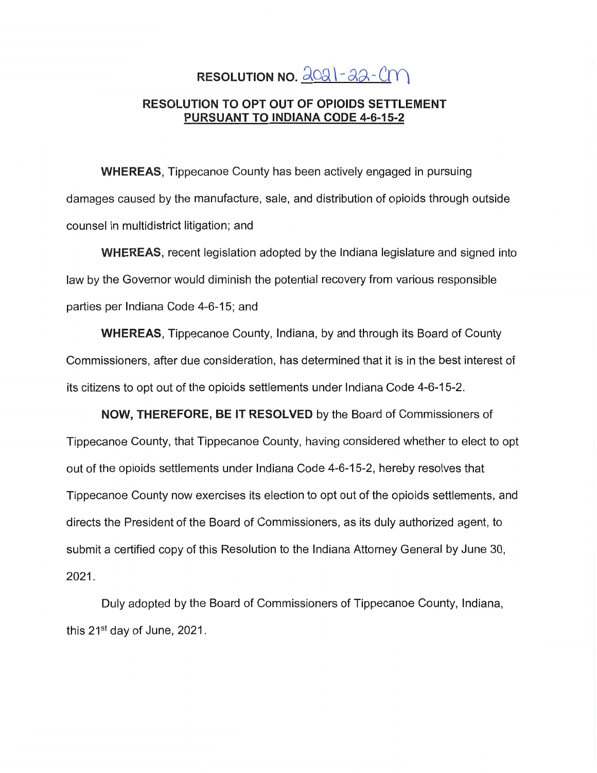# **RESOLUTION NO.**  $\frac{\partial OQ}{\partial r}$  -  $\partial A$  -  $\partial T$

## RESOLUTION TO OPT OUT OF **OPIOIDS** SETTLEMENT **PURSUANT TO INDIANA CODE 4-6-15-2**

WHEREAS, Tippecanoe County has been actively engaged in pursuing damages caused by the manufacture, sale, and distribution of opioids through outside counsel in multidistrict **litigation;** and

**WHEREAS,** recent legislation **adopted** by the Indiana **legislature** and signed into law by the Governor would diminish the potential recovery from various responsible parties per **Indiana Code** 4-6-15; and

**WHEREAS,** Tippecanoe County, **Indiana,** by and through its Board of **County**  Commissioners, after due consideration, has determined that it is in the best interest of its citizens to opt out of the opioids settlements under **Indiana Code** 4-6-15-2.

**NOW, THEREFORE,** BE IT **RESOLVED** by the Board of **Commissioners** of Tippecanoe **County,** that Tippecanoe **County,** having considered whether to elect to opt out of the opioids settlements under Indiana **Code 4-6-15-2,** hereby resolves that Tippecanoe County now exercises its election to opt out of the opioids **settlements,** and directs the President of the Board of Commissioners, as its duly authorized **agent,** to **submit** a certified copy of this Resolution to the **Indiana** Attorney General by **June** 30, 2021.

Duly adopted by the Board of **Commissioners** of Tippecanoe **County, Indiana,**  this  $21^{st}$  day of June, 2021.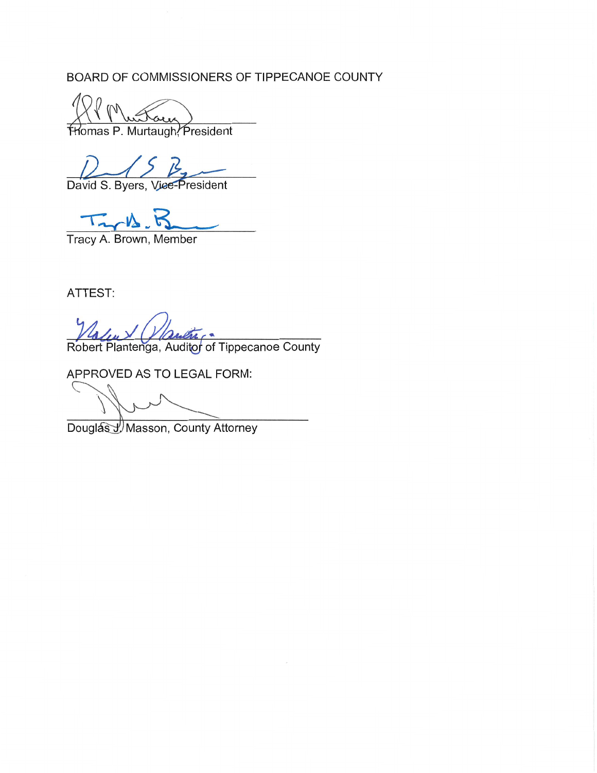BOARD OF COMMISSIONERS OF TIPPECANOE COUNTY

Thomas P. Murtaugh, President

David S. Byers, Vice-President

 $\mathcal{W}$ 

Tracy A. Brown, Member

ATTEST:

Robert Plantenga, Auditor of Tippecanoe County

APPROVED AS TO LEGAL FORM:

Douglas J. Masson, County Attorney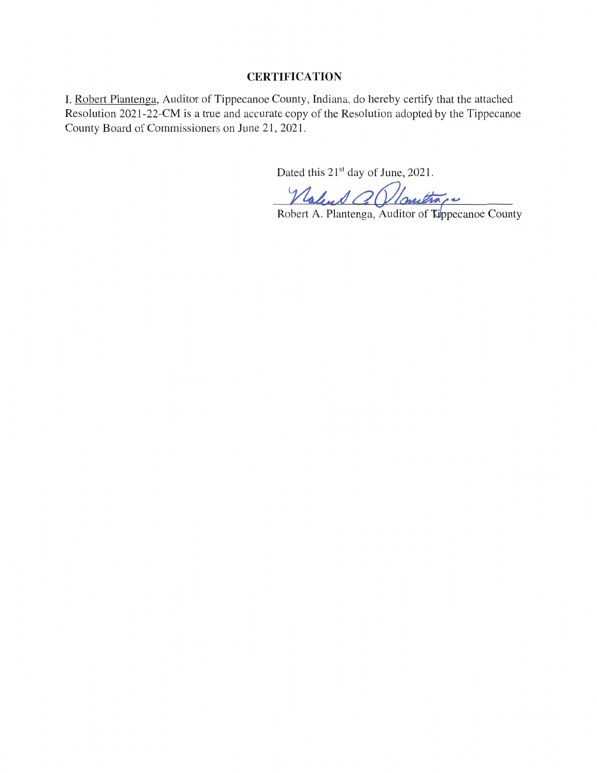### **CERTIFICATION**

I, Robert Plantenga, Auditor of Tippecanoe County, Indiana, do hereby certify that the attached Resolution 2021-22—CM is a true and accurate copy of the Resolution adopted by the Tippecanoe County Board of Commissioners on June 21, 2021.

Dated this  $21<sup>st</sup>$  day of June, 2021.

Walue O *Noveltra c*<br>Robert A. Plantenga, Auditor of **Tippecanoe County**